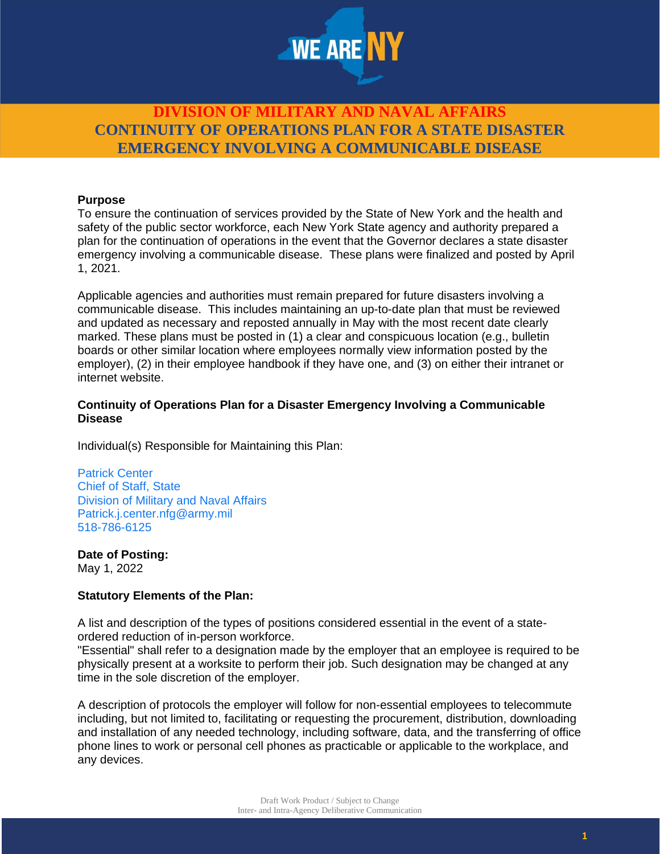

#### **Purpose**

To ensure the continuation of services provided by the State of New York and the health and safety of the public sector workforce, each New York State agency and authority prepared a plan for the continuation of operations in the event that the Governor declares a state disaster emergency involving a communicable disease. These plans were finalized and posted by April 1, 2021.

Applicable agencies and authorities must remain prepared for future disasters involving a communicable disease. This includes maintaining an up-to-date plan that must be reviewed and updated as necessary and reposted annually in May with the most recent date clearly marked. These plans must be posted in (1) a clear and conspicuous location (e.g., bulletin boards or other similar location where employees normally view information posted by the employer), (2) in their employee handbook if they have one, and (3) on either their intranet or internet website.

#### **Continuity of Operations Plan for a Disaster Emergency Involving a Communicable Disease**

Individual(s) Responsible for Maintaining this Plan:

Patrick Center Chief of Staff, State Division of Military and Naval Affairs Patrick.j.center.nfg@army.mil 518-786-6125

**Date of Posting:**

May 1, 2022

#### **Statutory Elements of the Plan:**

A list and description of the types of positions considered essential in the event of a stateordered reduction of in-person workforce.

"Essential" shall refer to a designation made by the employer that an employee is required to be physically present at a worksite to perform their job. Such designation may be changed at any time in the sole discretion of the employer.

A description of protocols the employer will follow for non-essential employees to telecommute including, but not limited to, facilitating or requesting the procurement, distribution, downloading and installation of any needed technology, including software, data, and the transferring of office phone lines to work or personal cell phones as practicable or applicable to the workplace, and any devices.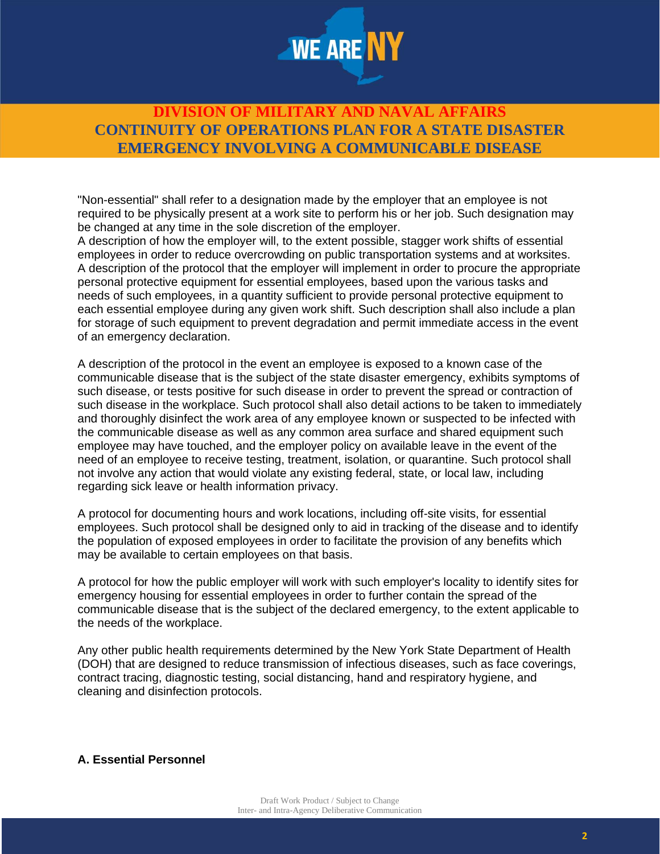

"Non-essential" shall refer to a designation made by the employer that an employee is not required to be physically present at a work site to perform his or her job. Such designation may be changed at any time in the sole discretion of the employer.

A description of how the employer will, to the extent possible, stagger work shifts of essential employees in order to reduce overcrowding on public transportation systems and at worksites. A description of the protocol that the employer will implement in order to procure the appropriate personal protective equipment for essential employees, based upon the various tasks and needs of such employees, in a quantity sufficient to provide personal protective equipment to each essential employee during any given work shift. Such description shall also include a plan for storage of such equipment to prevent degradation and permit immediate access in the event of an emergency declaration.

A description of the protocol in the event an employee is exposed to a known case of the communicable disease that is the subject of the state disaster emergency, exhibits symptoms of such disease, or tests positive for such disease in order to prevent the spread or contraction of such disease in the workplace. Such protocol shall also detail actions to be taken to immediately and thoroughly disinfect the work area of any employee known or suspected to be infected with the communicable disease as well as any common area surface and shared equipment such employee may have touched, and the employer policy on available leave in the event of the need of an employee to receive testing, treatment, isolation, or quarantine. Such protocol shall not involve any action that would violate any existing federal, state, or local law, including regarding sick leave or health information privacy.

A protocol for documenting hours and work locations, including off-site visits, for essential employees. Such protocol shall be designed only to aid in tracking of the disease and to identify the population of exposed employees in order to facilitate the provision of any benefits which may be available to certain employees on that basis.

A protocol for how the public employer will work with such employer's locality to identify sites for emergency housing for essential employees in order to further contain the spread of the communicable disease that is the subject of the declared emergency, to the extent applicable to the needs of the workplace.

Any other public health requirements determined by the New York State Department of Health (DOH) that are designed to reduce transmission of infectious diseases, such as face coverings, contract tracing, diagnostic testing, social distancing, hand and respiratory hygiene, and cleaning and disinfection protocols.

### **A. Essential Personnel**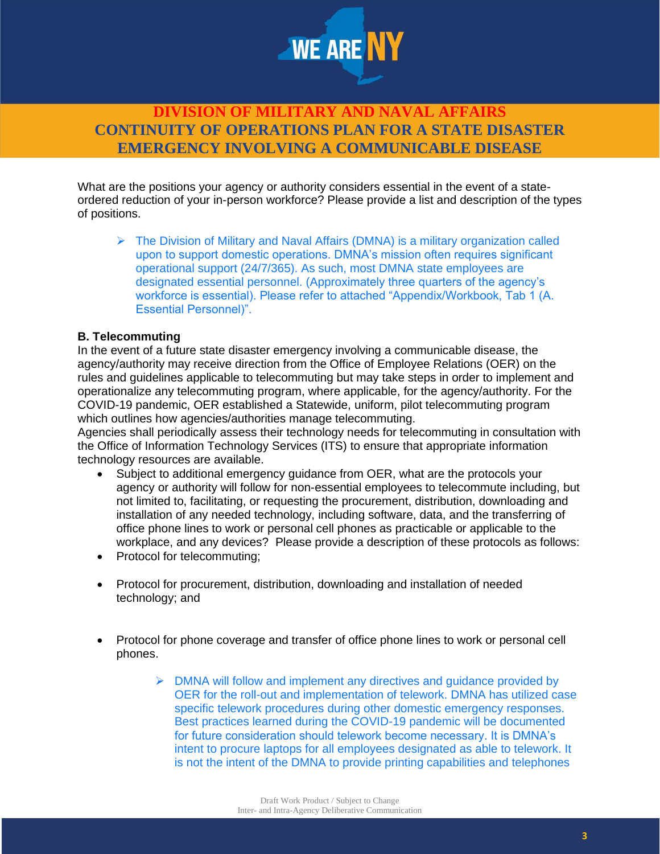

What are the positions your agency or authority considers essential in the event of a stateordered reduction of your in-person workforce? Please provide a list and description of the types of positions.

 $\triangleright$  The Division of Military and Naval Affairs (DMNA) is a military organization called upon to support domestic operations. DMNA's mission often requires significant operational support (24/7/365). As such, most DMNA state employees are designated essential personnel. (Approximately three quarters of the agency's workforce is essential). Please refer to attached "Appendix/Workbook, Tab 1 (A. Essential Personnel)".

### **B. Telecommuting**

In the event of a future state disaster emergency involving a communicable disease, the agency/authority may receive direction from the Office of Employee Relations (OER) on the rules and guidelines applicable to telecommuting but may take steps in order to implement and operationalize any telecommuting program, where applicable, for the agency/authority. For the COVID-19 pandemic, OER established a Statewide, uniform, pilot telecommuting program which outlines how agencies/authorities manage telecommuting.

Agencies shall periodically assess their technology needs for telecommuting in consultation with the Office of Information Technology Services (ITS) to ensure that appropriate information technology resources are available.

- Subject to additional emergency guidance from OER, what are the protocols your agency or authority will follow for non-essential employees to telecommute including, but not limited to, facilitating, or requesting the procurement, distribution, downloading and installation of any needed technology, including software, data, and the transferring of office phone lines to work or personal cell phones as practicable or applicable to the workplace, and any devices? Please provide a description of these protocols as follows:
- Protocol for telecommuting;
- Protocol for procurement, distribution, downloading and installation of needed technology; and
- Protocol for phone coverage and transfer of office phone lines to work or personal cell phones.
	- $\triangleright$  DMNA will follow and implement any directives and guidance provided by OER for the roll-out and implementation of telework. DMNA has utilized case specific telework procedures during other domestic emergency responses. Best practices learned during the COVID-19 pandemic will be documented for future consideration should telework become necessary. It is DMNA's intent to procure laptops for all employees designated as able to telework. It is not the intent of the DMNA to provide printing capabilities and telephones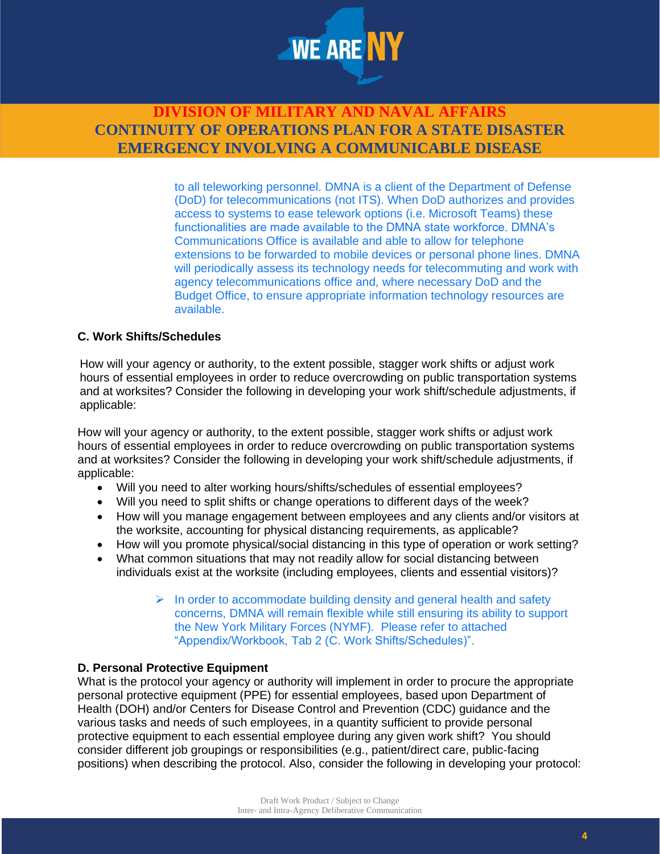

to all teleworking personnel. DMNA is a client of the Department of Defense (DoD) for telecommunications (not ITS). When DoD authorizes and provides access to systems to ease telework options (i.e. Microsoft Teams) these functionalities are made available to the DMNA state workforce. DMNA's Communications Office is available and able to allow for telephone extensions to be forwarded to mobile devices or personal phone lines. DMNA will periodically assess its technology needs for telecommuting and work with agency telecommunications office and, where necessary DoD and the Budget Office, to ensure appropriate information technology resources are available.

### **C. Work Shifts/Schedules**

How will your agency or authority, to the extent possible, stagger work shifts or adjust work hours of essential employees in order to reduce overcrowding on public transportation systems and at worksites? Consider the following in developing your work shift/schedule adjustments, if applicable:

How will your agency or authority, to the extent possible, stagger work shifts or adjust work hours of essential employees in order to reduce overcrowding on public transportation systems and at worksites? Consider the following in developing your work shift/schedule adjustments, if applicable:

- Will you need to alter working hours/shifts/schedules of essential employees?
- Will you need to split shifts or change operations to different days of the week?
- How will you manage engagement between employees and any clients and/or visitors at the worksite, accounting for physical distancing requirements, as applicable?
- How will you promote physical/social distancing in this type of operation or work setting?
- What common situations that may not readily allow for social distancing between individuals exist at the worksite (including employees, clients and essential visitors)?
	- $\triangleright$  In order to accommodate building density and general health and safety concerns, DMNA will remain flexible while still ensuring its ability to support the New York Military Forces (NYMF). Please refer to attached "Appendix/Workbook, Tab 2 (C. Work Shifts/Schedules)".

#### **D. Personal Protective Equipment**

What is the protocol your agency or authority will implement in order to procure the appropriate personal protective equipment (PPE) for essential employees, based upon Department of Health (DOH) and/or Centers for Disease Control and Prevention (CDC) guidance and the various tasks and needs of such employees, in a quantity sufficient to provide personal protective equipment to each essential employee during any given work shift? You should consider different job groupings or responsibilities (e.g., patient/direct care, public-facing positions) when describing the protocol. Also, consider the following in developing your protocol: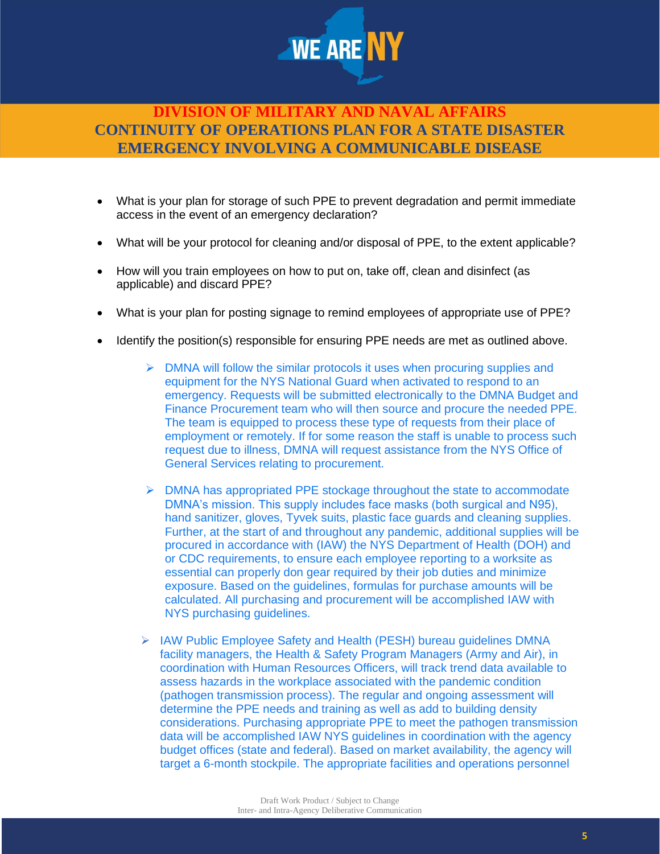

- What is your plan for storage of such PPE to prevent degradation and permit immediate access in the event of an emergency declaration?
- What will be your protocol for cleaning and/or disposal of PPE, to the extent applicable?
- How will you train employees on how to put on, take off, clean and disinfect (as applicable) and discard PPE?
- What is your plan for posting signage to remind employees of appropriate use of PPE?
- Identify the position(s) responsible for ensuring PPE needs are met as outlined above.
	- ➢ DMNA will follow the similar protocols it uses when procuring supplies and equipment for the NYS National Guard when activated to respond to an emergency. Requests will be submitted electronically to the DMNA Budget and Finance Procurement team who will then source and procure the needed PPE. The team is equipped to process these type of requests from their place of employment or remotely. If for some reason the staff is unable to process such request due to illness, DMNA will request assistance from the NYS Office of General Services relating to procurement.
	- $\triangleright$  DMNA has appropriated PPE stockage throughout the state to accommodate DMNA's mission. This supply includes face masks (both surgical and N95), hand sanitizer, gloves, Tyvek suits, plastic face guards and cleaning supplies. Further, at the start of and throughout any pandemic, additional supplies will be procured in accordance with (IAW) the NYS Department of Health (DOH) and or CDC requirements, to ensure each employee reporting to a worksite as essential can properly don gear required by their job duties and minimize exposure. Based on the guidelines, formulas for purchase amounts will be calculated. All purchasing and procurement will be accomplished IAW with NYS purchasing guidelines.
	- ➢ IAW Public Employee Safety and Health (PESH) bureau guidelines DMNA facility managers, the Health & Safety Program Managers (Army and Air), in coordination with Human Resources Officers, will track trend data available to assess hazards in the workplace associated with the pandemic condition (pathogen transmission process). The regular and ongoing assessment will determine the PPE needs and training as well as add to building density considerations. Purchasing appropriate PPE to meet the pathogen transmission data will be accomplished IAW NYS guidelines in coordination with the agency budget offices (state and federal). Based on market availability, the agency will target a 6-month stockpile. The appropriate facilities and operations personnel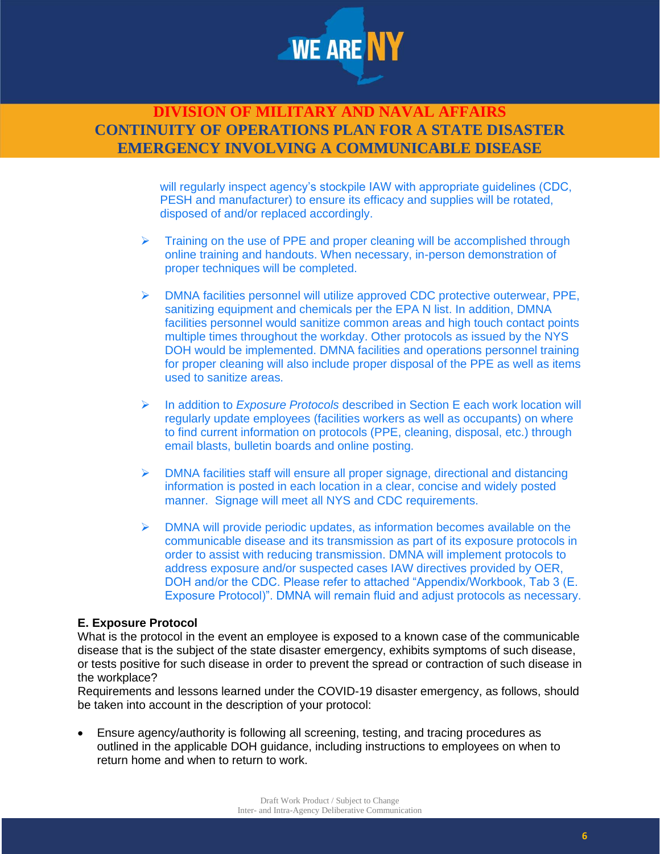

> will regularly inspect agency's stockpile IAW with appropriate guidelines (CDC, PESH and manufacturer) to ensure its efficacy and supplies will be rotated, disposed of and/or replaced accordingly.

- $\triangleright$  Training on the use of PPE and proper cleaning will be accomplished through online training and handouts. When necessary, in-person demonstration of proper techniques will be completed.
- ➢ DMNA facilities personnel will utilize approved CDC protective outerwear, PPE, sanitizing equipment and chemicals per the EPA N list. In addition, DMNA facilities personnel would sanitize common areas and high touch contact points multiple times throughout the workday. Other protocols as issued by the NYS DOH would be implemented. DMNA facilities and operations personnel training for proper cleaning will also include proper disposal of the PPE as well as items used to sanitize areas.
- ➢ In addition to *Exposure Protocols* described in Section E each work location will regularly update employees (facilities workers as well as occupants) on where to find current information on protocols (PPE, cleaning, disposal, etc.) through email blasts, bulletin boards and online posting.
- $\triangleright$  DMNA facilities staff will ensure all proper signage, directional and distancing information is posted in each location in a clear, concise and widely posted manner. Signage will meet all NYS and CDC requirements.
- ➢ DMNA will provide periodic updates, as information becomes available on the communicable disease and its transmission as part of its exposure protocols in order to assist with reducing transmission. DMNA will implement protocols to address exposure and/or suspected cases IAW directives provided by OER, DOH and/or the CDC. Please refer to attached "Appendix/Workbook, Tab 3 (E. Exposure Protocol)". DMNA will remain fluid and adjust protocols as necessary.

#### **E. Exposure Protocol**

What is the protocol in the event an employee is exposed to a known case of the communicable disease that is the subject of the state disaster emergency, exhibits symptoms of such disease, or tests positive for such disease in order to prevent the spread or contraction of such disease in the workplace?

Requirements and lessons learned under the COVID-19 disaster emergency, as follows, should be taken into account in the description of your protocol:

• Ensure agency/authority is following all screening, testing, and tracing procedures as outlined in the applicable DOH guidance, including instructions to employees on when to return home and when to return to work.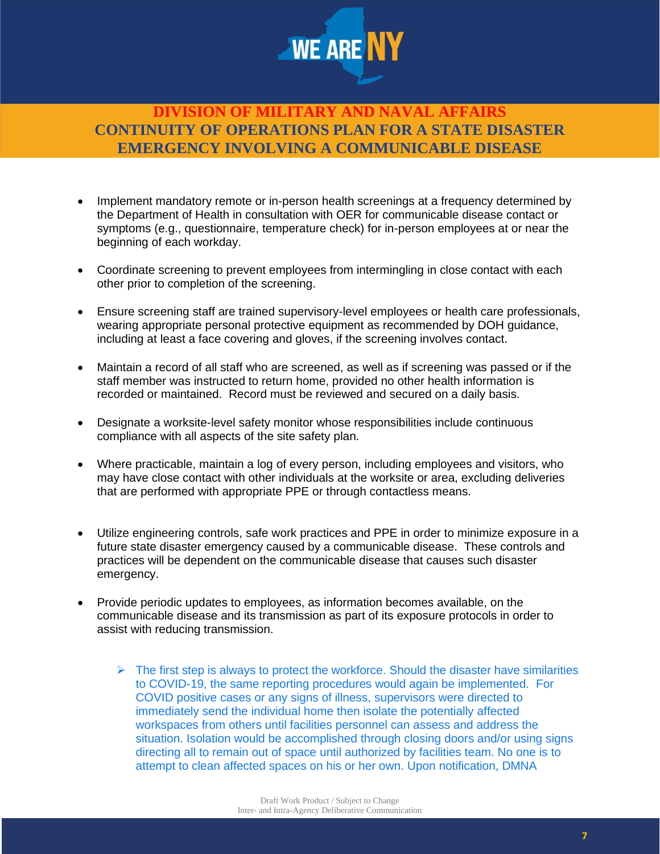

- Implement mandatory remote or in-person health screenings at a frequency determined by the Department of Health in consultation with OER for communicable disease contact or symptoms (e.g., questionnaire, temperature check) for in-person employees at or near the beginning of each workday.
- Coordinate screening to prevent employees from intermingling in close contact with each other prior to completion of the screening.
- Ensure screening staff are trained supervisory-level employees or health care professionals, wearing appropriate personal protective equipment as recommended by DOH guidance, including at least a face covering and gloves, if the screening involves contact.
- Maintain a record of all staff who are screened, as well as if screening was passed or if the staff member was instructed to return home, provided no other health information is recorded or maintained. Record must be reviewed and secured on a daily basis.
- Designate a worksite-level safety monitor whose responsibilities include continuous compliance with all aspects of the site safety plan.
- Where practicable, maintain a log of every person, including employees and visitors, who may have close contact with other individuals at the worksite or area, excluding deliveries that are performed with appropriate PPE or through contactless means.
- Utilize engineering controls, safe work practices and PPE in order to minimize exposure in a future state disaster emergency caused by a communicable disease. These controls and practices will be dependent on the communicable disease that causes such disaster emergency.
- Provide periodic updates to employees, as information becomes available, on the communicable disease and its transmission as part of its exposure protocols in order to assist with reducing transmission.
	- $\triangleright$  The first step is always to protect the workforce. Should the disaster have similarities to COVID-19, the same reporting procedures would again be implemented. For COVID positive cases or any signs of illness, supervisors were directed to immediately send the individual home then isolate the potentially affected workspaces from others until facilities personnel can assess and address the situation. Isolation would be accomplished through closing doors and/or using signs directing all to remain out of space until authorized by facilities team. No one is to attempt to clean affected spaces on his or her own. Upon notification, DMNA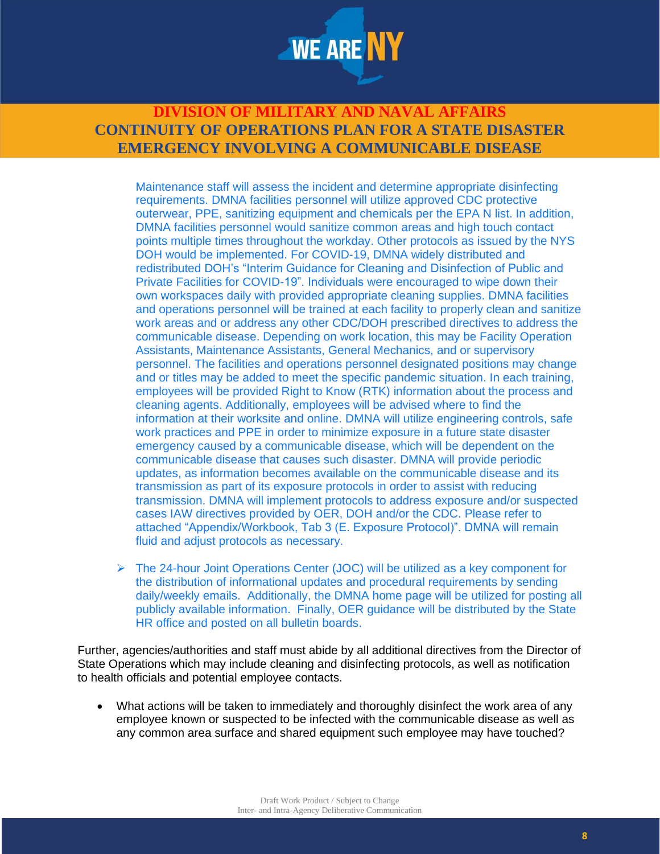

Maintenance staff will assess the incident and determine appropriate disinfecting requirements. DMNA facilities personnel will utilize approved CDC protective outerwear, PPE, sanitizing equipment and chemicals per the EPA N list. In addition, DMNA facilities personnel would sanitize common areas and high touch contact points multiple times throughout the workday. Other protocols as issued by the NYS DOH would be implemented. For COVID-19, DMNA widely distributed and redistributed DOH's "Interim Guidance for Cleaning and Disinfection of Public and Private Facilities for COVID-19". Individuals were encouraged to wipe down their own workspaces daily with provided appropriate cleaning supplies. DMNA facilities and operations personnel will be trained at each facility to properly clean and sanitize work areas and or address any other CDC/DOH prescribed directives to address the communicable disease. Depending on work location, this may be Facility Operation Assistants, Maintenance Assistants, General Mechanics, and or supervisory personnel. The facilities and operations personnel designated positions may change and or titles may be added to meet the specific pandemic situation. In each training, employees will be provided Right to Know (RTK) information about the process and cleaning agents. Additionally, employees will be advised where to find the information at their worksite and online. DMNA will utilize engineering controls, safe work practices and PPE in order to minimize exposure in a future state disaster emergency caused by a communicable disease, which will be dependent on the communicable disease that causes such disaster. DMNA will provide periodic updates, as information becomes available on the communicable disease and its transmission as part of its exposure protocols in order to assist with reducing transmission. DMNA will implement protocols to address exposure and/or suspected cases IAW directives provided by OER, DOH and/or the CDC. Please refer to attached "Appendix/Workbook, Tab 3 (E. Exposure Protocol)". DMNA will remain fluid and adjust protocols as necessary.

 $\triangleright$  The 24-hour Joint Operations Center (JOC) will be utilized as a key component for the distribution of informational updates and procedural requirements by sending daily/weekly emails. Additionally, the DMNA home page will be utilized for posting all publicly available information. Finally, OER guidance will be distributed by the State HR office and posted on all bulletin boards.

Further, agencies/authorities and staff must abide by all additional directives from the Director of State Operations which may include cleaning and disinfecting protocols, as well as notification to health officials and potential employee contacts.

• What actions will be taken to immediately and thoroughly disinfect the work area of any employee known or suspected to be infected with the communicable disease as well as any common area surface and shared equipment such employee may have touched?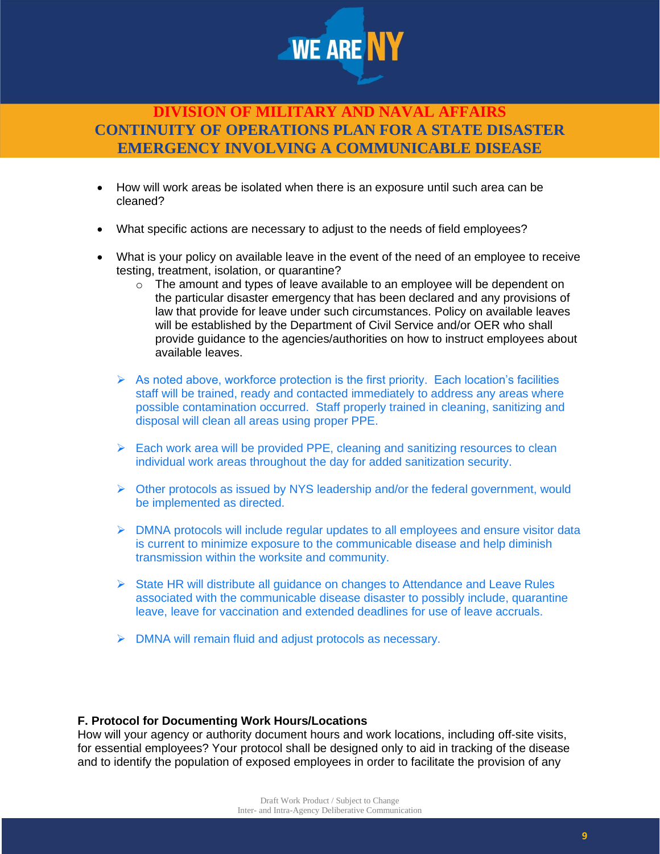

- How will work areas be isolated when there is an exposure until such area can be cleaned?
- What specific actions are necessary to adjust to the needs of field employees?
- What is your policy on available leave in the event of the need of an employee to receive testing, treatment, isolation, or quarantine?
	- $\circ$  The amount and types of leave available to an employee will be dependent on the particular disaster emergency that has been declared and any provisions of law that provide for leave under such circumstances. Policy on available leaves will be established by the Department of Civil Service and/or OER who shall provide guidance to the agencies/authorities on how to instruct employees about available leaves.
	- $\triangleright$  As noted above, workforce protection is the first priority. Each location's facilities staff will be trained, ready and contacted immediately to address any areas where possible contamination occurred. Staff properly trained in cleaning, sanitizing and disposal will clean all areas using proper PPE.
	- $\triangleright$  Each work area will be provided PPE, cleaning and sanitizing resources to clean individual work areas throughout the day for added sanitization security.
	- $\triangleright$  Other protocols as issued by NYS leadership and/or the federal government, would be implemented as directed.
	- $\triangleright$  DMNA protocols will include regular updates to all employees and ensure visitor data is current to minimize exposure to the communicable disease and help diminish transmission within the worksite and community.
	- $\triangleright$  State HR will distribute all quidance on changes to Attendance and Leave Rules associated with the communicable disease disaster to possibly include, quarantine leave, leave for vaccination and extended deadlines for use of leave accruals.
	- ➢ DMNA will remain fluid and adjust protocols as necessary.

#### **F. Protocol for Documenting Work Hours/Locations**

How will your agency or authority document hours and work locations, including off-site visits, for essential employees? Your protocol shall be designed only to aid in tracking of the disease and to identify the population of exposed employees in order to facilitate the provision of any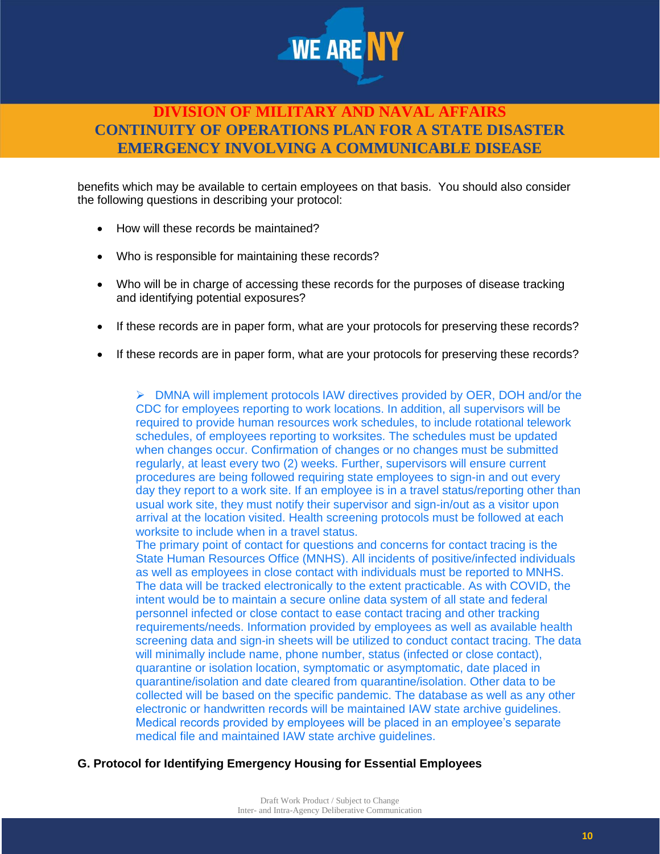

benefits which may be available to certain employees on that basis. You should also consider the following questions in describing your protocol:

- How will these records be maintained?
- Who is responsible for maintaining these records?
- Who will be in charge of accessing these records for the purposes of disease tracking and identifying potential exposures?
- If these records are in paper form, what are your protocols for preserving these records?
- If these records are in paper form, what are your protocols for preserving these records?

➢ DMNA will implement protocols IAW directives provided by OER, DOH and/or the CDC for employees reporting to work locations. In addition, all supervisors will be required to provide human resources work schedules, to include rotational telework schedules, of employees reporting to worksites. The schedules must be updated when changes occur. Confirmation of changes or no changes must be submitted regularly, at least every two (2) weeks. Further, supervisors will ensure current procedures are being followed requiring state employees to sign-in and out every day they report to a work site. If an employee is in a travel status/reporting other than usual work site, they must notify their supervisor and sign-in/out as a visitor upon arrival at the location visited. Health screening protocols must be followed at each worksite to include when in a travel status.

The primary point of contact for questions and concerns for contact tracing is the State Human Resources Office (MNHS). All incidents of positive/infected individuals as well as employees in close contact with individuals must be reported to MNHS. The data will be tracked electronically to the extent practicable. As with COVID, the intent would be to maintain a secure online data system of all state and federal personnel infected or close contact to ease contact tracing and other tracking requirements/needs. Information provided by employees as well as available health screening data and sign-in sheets will be utilized to conduct contact tracing. The data will minimally include name, phone number, status (infected or close contact), quarantine or isolation location, symptomatic or asymptomatic, date placed in quarantine/isolation and date cleared from quarantine/isolation. Other data to be collected will be based on the specific pandemic. The database as well as any other electronic or handwritten records will be maintained IAW state archive guidelines. Medical records provided by employees will be placed in an employee's separate medical file and maintained IAW state archive guidelines.

#### **G. Protocol for Identifying Emergency Housing for Essential Employees**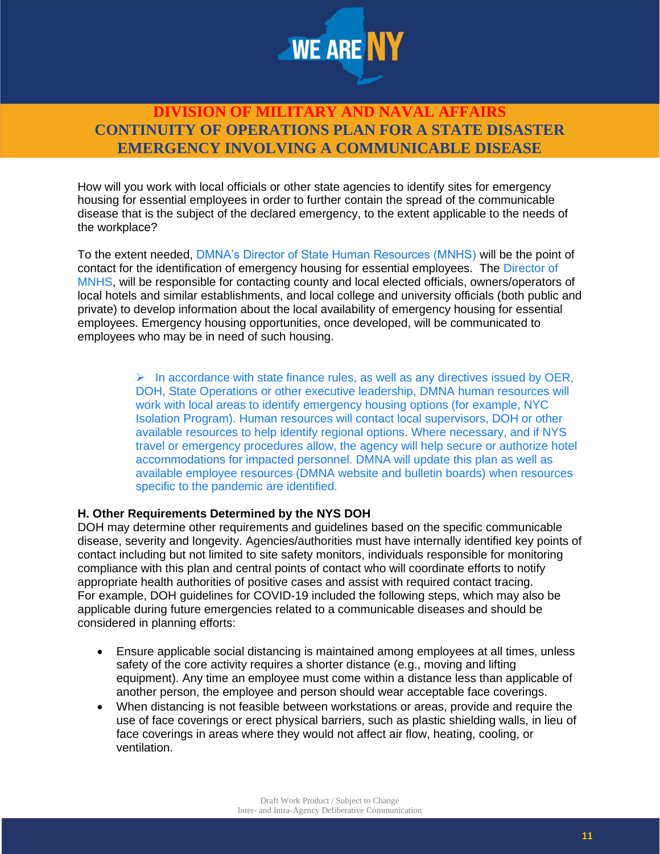

How will you work with local officials or other state agencies to identify sites for emergency housing for essential employees in order to further contain the spread of the communicable disease that is the subject of the declared emergency, to the extent applicable to the needs of the workplace?

To the extent needed, DMNA's Director of State Human Resources (MNHS) will be the point of contact for the identification of emergency housing for essential employees. The Director of MNHS, will be responsible for contacting county and local elected officials, owners/operators of local hotels and similar establishments, and local college and university officials (both public and private) to develop information about the local availability of emergency housing for essential employees. Emergency housing opportunities, once developed, will be communicated to employees who may be in need of such housing.

> $\triangleright$  In accordance with state finance rules, as well as any directives issued by OER, DOH, State Operations or other executive leadership, DMNA human resources will work with local areas to identify emergency housing options (for example, NYC Isolation Program). Human resources will contact local supervisors, DOH or other available resources to help identify regional options. Where necessary, and if NYS travel or emergency procedures allow, the agency will help secure or authorize hotel accommodations for impacted personnel. DMNA will update this plan as well as available employee resources (DMNA website and bulletin boards) when resources specific to the pandemic are identified.

#### **H. Other Requirements Determined by the NYS DOH**

DOH may determine other requirements and guidelines based on the specific communicable disease, severity and longevity. Agencies/authorities must have internally identified key points of contact including but not limited to site safety monitors, individuals responsible for monitoring compliance with this plan and central points of contact who will coordinate efforts to notify appropriate health authorities of positive cases and assist with required contact tracing. For example, DOH guidelines for COVID-19 included the following steps, which may also be applicable during future emergencies related to a communicable diseases and should be considered in planning efforts:

- Ensure applicable social distancing is maintained among employees at all times, unless safety of the core activity requires a shorter distance (e.g., moving and lifting equipment). Any time an employee must come within a distance less than applicable of another person, the employee and person should wear acceptable face coverings.
- When distancing is not feasible between workstations or areas, provide and require the use of face coverings or erect physical barriers, such as plastic shielding walls, in lieu of face coverings in areas where they would not affect air flow, heating, cooling, or ventilation.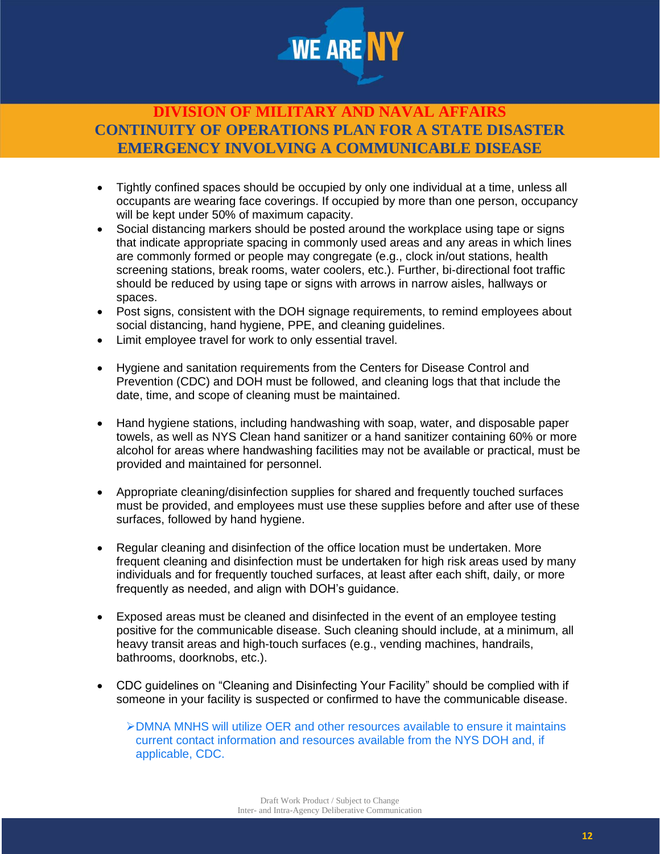

- Tightly confined spaces should be occupied by only one individual at a time, unless all occupants are wearing face coverings. If occupied by more than one person, occupancy will be kept under 50% of maximum capacity.
- Social distancing markers should be posted around the workplace using tape or signs that indicate appropriate spacing in commonly used areas and any areas in which lines are commonly formed or people may congregate (e.g., clock in/out stations, health screening stations, break rooms, water coolers, etc.). Further, bi-directional foot traffic should be reduced by using tape or signs with arrows in narrow aisles, hallways or spaces.
- Post signs, consistent with the DOH signage requirements, to remind employees about social distancing, hand hygiene, PPE, and cleaning guidelines.
- Limit employee travel for work to only essential travel.
- Hygiene and sanitation requirements from the Centers for Disease Control and Prevention (CDC) and DOH must be followed, and cleaning logs that that include the date, time, and scope of cleaning must be maintained.
- Hand hygiene stations, including handwashing with soap, water, and disposable paper towels, as well as NYS Clean hand sanitizer or a hand sanitizer containing 60% or more alcohol for areas where handwashing facilities may not be available or practical, must be provided and maintained for personnel.
- Appropriate cleaning/disinfection supplies for shared and frequently touched surfaces must be provided, and employees must use these supplies before and after use of these surfaces, followed by hand hygiene.
- Regular cleaning and disinfection of the office location must be undertaken. More frequent cleaning and disinfection must be undertaken for high risk areas used by many individuals and for frequently touched surfaces, at least after each shift, daily, or more frequently as needed, and align with DOH's guidance.
- Exposed areas must be cleaned and disinfected in the event of an employee testing positive for the communicable disease. Such cleaning should include, at a minimum, all heavy transit areas and high-touch surfaces (e.g., vending machines, handrails, bathrooms, doorknobs, etc.).
- CDC guidelines on "Cleaning and Disinfecting Your Facility" should be complied with if someone in your facility is suspected or confirmed to have the communicable disease.

➢DMNA MNHS will utilize OER and other resources available to ensure it maintains current contact information and resources available from the NYS DOH and, if applicable, CDC.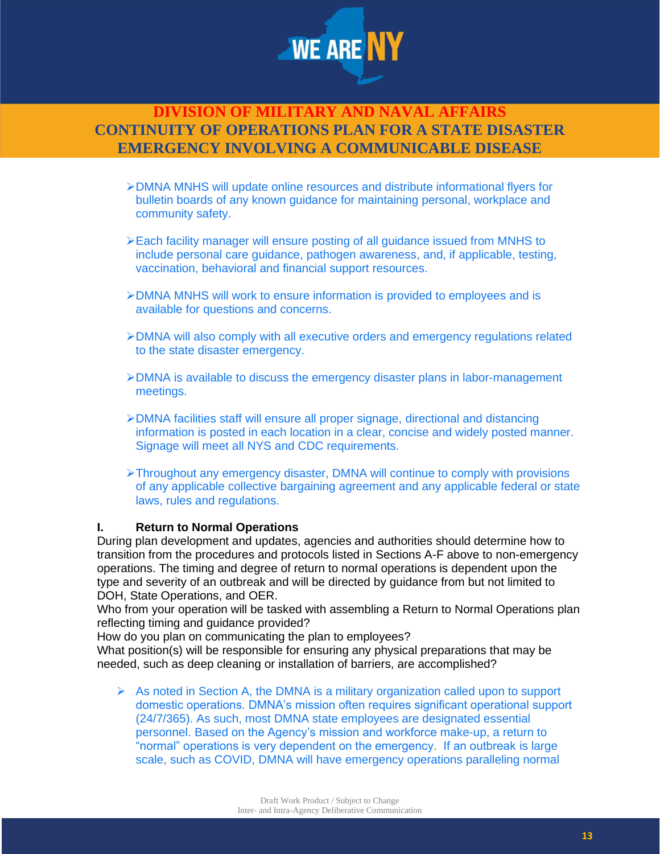

- ➢DMNA MNHS will update online resources and distribute informational flyers for bulletin boards of any known guidance for maintaining personal, workplace and community safety.
- ➢Each facility manager will ensure posting of all guidance issued from MNHS to include personal care guidance, pathogen awareness, and, if applicable, testing, vaccination, behavioral and financial support resources.
- ➢DMNA MNHS will work to ensure information is provided to employees and is available for questions and concerns.
- ➢DMNA will also comply with all executive orders and emergency regulations related to the state disaster emergency.
- ➢DMNA is available to discuss the emergency disaster plans in labor-management meetings.
- ➢DMNA facilities staff will ensure all proper signage, directional and distancing information is posted in each location in a clear, concise and widely posted manner. Signage will meet all NYS and CDC requirements.
- ➢Throughout any emergency disaster, DMNA will continue to comply with provisions of any applicable collective bargaining agreement and any applicable federal or state laws, rules and regulations.

#### **I. Return to Normal Operations**

During plan development and updates, agencies and authorities should determine how to transition from the procedures and protocols listed in Sections A-F above to non-emergency operations. The timing and degree of return to normal operations is dependent upon the type and severity of an outbreak and will be directed by guidance from but not limited to DOH, State Operations, and OER.

Who from your operation will be tasked with assembling a Return to Normal Operations plan reflecting timing and guidance provided?

How do you plan on communicating the plan to employees?

What position(s) will be responsible for ensuring any physical preparations that may be needed, such as deep cleaning or installation of barriers, are accomplished?

 $\triangleright$  As noted in Section A, the DMNA is a military organization called upon to support domestic operations. DMNA's mission often requires significant operational support (24/7/365). As such, most DMNA state employees are designated essential personnel. Based on the Agency's mission and workforce make-up, a return to "normal" operations is very dependent on the emergency. If an outbreak is large scale, such as COVID, DMNA will have emergency operations paralleling normal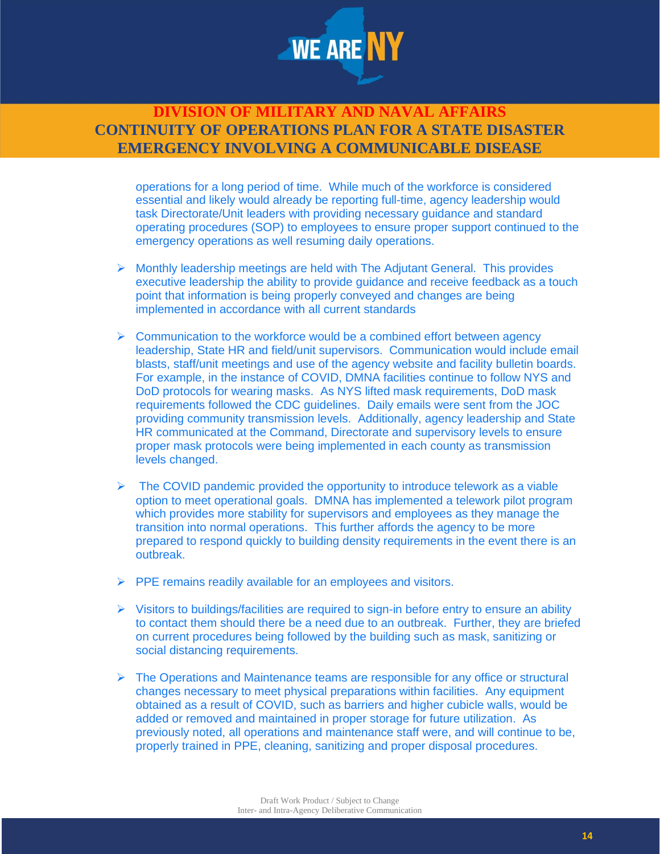

operations for a long period of time. While much of the workforce is considered essential and likely would already be reporting full-time, agency leadership would task Directorate/Unit leaders with providing necessary guidance and standard operating procedures (SOP) to employees to ensure proper support continued to the emergency operations as well resuming daily operations.

- $\triangleright$  Monthly leadership meetings are held with The Adjutant General. This provides executive leadership the ability to provide guidance and receive feedback as a touch point that information is being properly conveyed and changes are being implemented in accordance with all current standards
- $\triangleright$  Communication to the workforce would be a combined effort between agency leadership, State HR and field/unit supervisors. Communication would include email blasts, staff/unit meetings and use of the agency website and facility bulletin boards. For example, in the instance of COVID, DMNA facilities continue to follow NYS and DoD protocols for wearing masks. As NYS lifted mask requirements, DoD mask requirements followed the CDC guidelines. Daily emails were sent from the JOC providing community transmission levels. Additionally, agency leadership and State HR communicated at the Command, Directorate and supervisory levels to ensure proper mask protocols were being implemented in each county as transmission levels changed.
- $\triangleright$  The COVID pandemic provided the opportunity to introduce telework as a viable option to meet operational goals. DMNA has implemented a telework pilot program which provides more stability for supervisors and employees as they manage the transition into normal operations. This further affords the agency to be more prepared to respond quickly to building density requirements in the event there is an outbreak.
- ➢ PPE remains readily available for an employees and visitors.
- $\triangleright$  Visitors to buildings/facilities are required to sign-in before entry to ensure an ability to contact them should there be a need due to an outbreak. Further, they are briefed on current procedures being followed by the building such as mask, sanitizing or social distancing requirements.
- $\triangleright$  The Operations and Maintenance teams are responsible for any office or structural changes necessary to meet physical preparations within facilities. Any equipment obtained as a result of COVID, such as barriers and higher cubicle walls, would be added or removed and maintained in proper storage for future utilization. As previously noted, all operations and maintenance staff were, and will continue to be, properly trained in PPE, cleaning, sanitizing and proper disposal procedures.